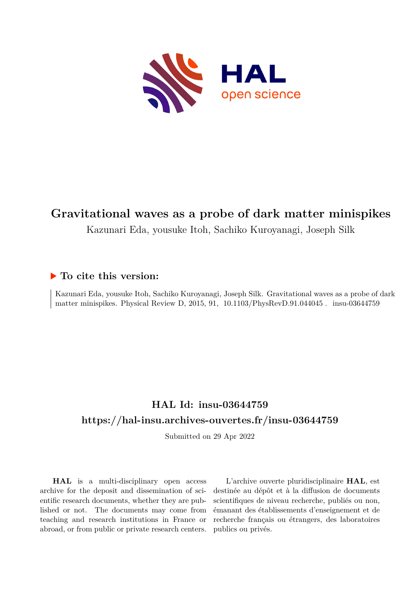

# **Gravitational waves as a probe of dark matter minispikes**

Kazunari Eda, yousuke Itoh, Sachiko Kuroyanagi, Joseph Silk

# **To cite this version:**

Kazunari Eda, yousuke Itoh, Sachiko Kuroyanagi, Joseph Silk. Gravitational waves as a probe of dark matter minispikes. Physical Review D, 2015, 91,  $10.1103/P$ hysRevD.91.044045. insu-03644759

# **HAL Id: insu-03644759 <https://hal-insu.archives-ouvertes.fr/insu-03644759>**

Submitted on 29 Apr 2022

**HAL** is a multi-disciplinary open access archive for the deposit and dissemination of scientific research documents, whether they are published or not. The documents may come from teaching and research institutions in France or abroad, or from public or private research centers.

L'archive ouverte pluridisciplinaire **HAL**, est destinée au dépôt et à la diffusion de documents scientifiques de niveau recherche, publiés ou non, émanant des établissements d'enseignement et de recherche français ou étrangers, des laboratoires publics ou privés.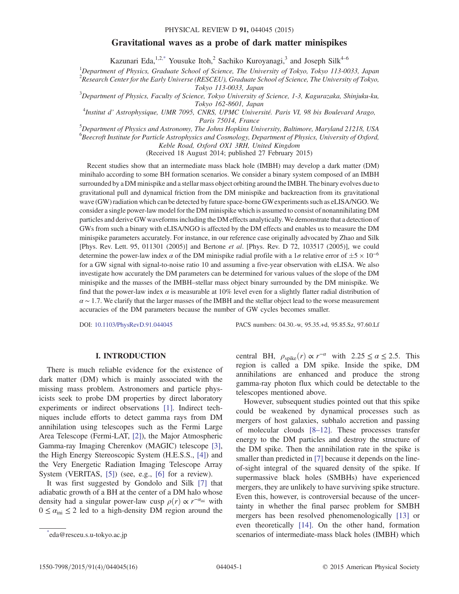# Gravitational waves as a probe of dark matter minispikes

Kazunari Eda,<sup>1,2,\*</sup> Yousuke Itoh,<sup>2</sup> Sachiko Kuroyanagi,<sup>3</sup> and Joseph Silk<sup>4–6</sup>

<sup>1</sup>Department of Physics, Graduate School of Science, The University of Tokyo, Tokyo 113-0033, Japan  $^{2}$ Research Center for the Early Universe (RESCEU), Graduate School of Science, The University of Tokyo,

Tokyo 113-0033, Japan<br><sup>3</sup>Department of Physics, Faculty of Science, Tokyo University of Science, 1-3, Kagurazaka, Shinjuku-ku,

Tokyo 162-8601, Japan<br>Anstitut d'Astrophysique, UMR 7095, CNRS, UPMC Université. Paris VI, 98 bis Boulevard Arago, Paris 75014, France<br><sup>5</sup>Department of Physics and Astronomy, The Johns Hopkins University, Baltimore, Maryland 21218, USA

<sup>6</sup> Beecroft Institute for Particle Astrophysics and Cosmology, Department of Physics, University of Oxford, Keble Road, Oxford OX1 3RH, United Kingdom

(Received 18 August 2014; published 27 February 2015)

Recent studies show that an intermediate mass black hole (IMBH) may develop a dark matter (DM) minihalo according to some BH formation scenarios. We consider a binary system composed of an IMBH surrounded by a DM minispike and a stellar mass object orbiting around the IMBH. The binary evolves due to gravitational pull and dynamical friction from the DM minispike and backreaction from its gravitational wave (GW) radiation which can be detected by future space-borne GWexperiments such as eLISA/NGO.We consider a single power-law model for the DM minispike which is assumed to consist of nonannihilating DM particles and derive GW waveforms including the DM effects analytically. We demonstrate that a detection of GWs from such a binary with eLISA/NGO is affected by the DM effects and enables us to measure the DM minispike parameters accurately. For instance, in our reference case originally advocated by Zhao and Silk [Phys. Rev. Lett. 95, 011301 (2005)] and Bertone et al. [Phys. Rev. D 72, 103517 (2005)], we could determine the power-law index  $\alpha$  of the DM minispike radial profile with a 1 $\sigma$  relative error of  $\pm 5 \times 10^{-6}$ for a GW signal with signal-to-noise ratio 10 and assuming a five-year observation with eLISA. We also investigate how accurately the DM parameters can be determined for various values of the slope of the DM minispike and the masses of the IMBH–stellar mass object binary surrounded by the DM minispike. We find that the power-law index  $\alpha$  is measurable at 10% level even for a slightly flatter radial distribution of  $\alpha \sim 1.7$ . We clarify that the larger masses of the IMBH and the stellar object lead to the worse measurement accuracies of the DM parameters because the number of GW cycles becomes smaller.

DOI: [10.1103/PhysRevD.91.044045](http://dx.doi.org/10.1103/PhysRevD.91.044045) PACS numbers: 04.30.-w, 95.35.+d, 95.85.Sz, 97.60.Lf

#### I. INTRODUCTION

There is much reliable evidence for the existence of dark matter (DM) which is mainly associated with the missing mass problem. Astronomers and particle physicists seek to probe DM properties by direct laboratory experiments or indirect observations [1]. Indirect techniques include efforts to detect gamma rays from DM annihilation using telescopes such as the Fermi Large Area Telescope (Fermi-LAT, [2]), the Major Atmospheric Gamma-ray Imaging Cherenkov (MAGIC) telescope [3], the High Energy Stereoscopic System (H.E.S.S., [4]) and the Very Energetic Radiation Imaging Telescope Array System (VERITAS, [5]) (see, e.g., [6] for a review).

It was first suggested by Gondolo and Silk [7] that adiabatic growth of a BH at the center of a DM halo whose density had a singular power-law cusp  $\rho(r) \propto r^{-\alpha_{\text{ini}}}$  with  $0 \le \alpha_{\text{ini}} \le 2$  led to a high-density DM region around the central BH,  $\rho_{spike}(r) \propto r^{-\alpha}$  with 2.25 ≤  $\alpha$  ≤ 2.5. This region is called a DM spike. Inside the spike, DM annihilations are enhanced and produce the strong gamma-ray photon flux which could be detectable to the telescopes mentioned above.

However, subsequent studies pointed out that this spike could be weakened by dynamical processes such as mergers of host galaxies, subhalo accretion and passing of molecular clouds [8–12]. These processes transfer energy to the DM particles and destroy the structure of the DM spike. Then the annihilation rate in the spike is smaller than predicted in [7] because it depends on the lineof-sight integral of the squared density of the spike. If supermassive black holes (SMBHs) have experienced mergers, they are unlikely to have surviving spike structure. Even this, however, is controversial because of the uncertainty in whether the final parsec problem for SMBH mergers has been resolved phenomenologically [13] or even theoretically [14]. On the other hand, formation scenarios of intermediate-mass black holes (IMBH) which \*

eda@resceu.s.u‑tokyo.ac.jp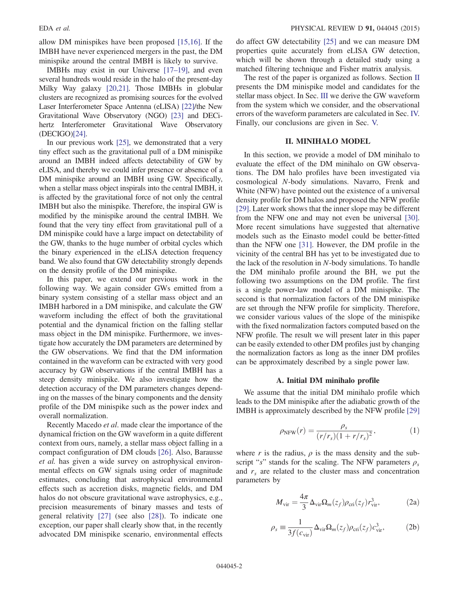allow DM minispikes have been proposed [15,16]. If the IMBH have never experienced mergers in the past, the DM minispike around the central IMBH is likely to survive.

IMBHs may exist in our Universe [17–19], and even several hundreds would reside in the halo of the present-day Milky Way galaxy [20,21]. Those IMBHs in globular clusters are recognized as promising sources for the evolved Laser Interferometer Space Antenna (eLISA) [22]/the New Gravitational Wave Observatory (NGO) [23] and DECihertz Interferometer Gravitational Wave Observatory (DECIGO)[24].

In our previous work [25], we demonstrated that a very tiny effect such as the gravitational pull of a DM minispike around an IMBH indeed affects detectability of GW by eLISA, and thereby we could infer presence or absence of a DM minispike around an IMBH using GW. Specifically, when a stellar mass object inspirals into the central IMBH, it is affected by the gravitational force of not only the central IMBH but also the minispike. Therefore, the inspiral GW is modified by the minispike around the central IMBH. We found that the very tiny effect from gravitational pull of a DM minispike could have a large impact on detectability of the GW, thanks to the huge number of orbital cycles which the binary experienced in the eLISA detection frequency band. We also found that GW detectability strongly depends on the density profile of the DM minispike.

In this paper, we extend our previous work in the following way. We again consider GWs emitted from a binary system consisting of a stellar mass object and an IMBH harbored in a DM minispike, and calculate the GW waveform including the effect of both the gravitational potential and the dynamical friction on the falling stellar mass object in the DM minispike. Furthermore, we investigate how accurately the DM parameters are determined by the GW observations. We find that the DM information contained in the waveform can be extracted with very good accuracy by GW observations if the central IMBH has a steep density minispike. We also investigate how the detection accuracy of the DM parameters changes depending on the masses of the binary components and the density profile of the DM minispike such as the power index and overall normalization.

Recently Macedo et al. made clear the importance of the dynamical friction on the GW waveform in a quite different context from ours, namely, a stellar mass object falling in a compact configuration of DM clouds [26]. Also, Barausse et al. has given a wide survey on astrophysical environmental effects on GW signals using order of magnitude estimates, concluding that astrophysical environmental effects such as accretion disks, magnetic fields, and DM halos do not obscure gravitational wave astrophysics, e.g., precision measurements of binary masses and tests of general relativity [27] (see also [28]). To indicate one exception, our paper shall clearly show that, in the recently advocated DM minispike scenario, environmental effects do affect GW detectability [25] and we can measure DM properties quite accurately from eLISA GW detection, which will be shown through a detailed study using a matched filtering technique and Fisher matrix analysis.

The rest of the paper is organized as follows. Section II presents the DM minispike model and candidates for the stellar mass object. In Sec. III we derive the GW waveform from the system which we consider, and the observational errors of the waveform parameters are calculated in Sec. IV. Finally, our conclusions are given in Sec. V.

#### II. MINIHALO MODEL

In this section, we provide a model of DM minihalo to evaluate the effect of the DM minihalo on GW observations. The DM halo profiles have been investigated via cosmological N-body simulations. Navarro, Frenk and White (NFW) have pointed out the existence of a universal density profile for DM halos and proposed the NFW profile [29]. Later work shows that the inner slope may be different from the NFW one and may not even be universal [30]. More recent simulations have suggested that alternative models such as the Einasto model could be better-fitted than the NFW one [31]. However, the DM profile in the vicinity of the central BH has yet to be investigated due to the lack of the resolution in N-body simulations. To handle the DM minihalo profile around the BH, we put the following two assumptions on the DM profile. The first is a single power-law model of a DM minispike. The second is that normalization factors of the DM minispike are set through the NFW profile for simplicity. Therefore, we consider various values of the slope of the minispike with the fixed normalization factors computed based on the NFW profile. The result we will present later in this paper can be easily extended to other DM profiles just by changing the normalization factors as long as the inner DM profiles can be approximately described by a single power law.

#### A. Initial DM minihalo profile

We assume that the initial DM minihalo profile which leads to the DM minispike after the adiabatic growth of the IMBH is approximately described by the NFW profile [29]

$$
\rho_{\text{NFW}}(r) = \frac{\rho_s}{(r/r_s)(1+r/r_s)^2},\tag{1}
$$

where r is the radius,  $\rho$  is the mass density and the subscript "s" stands for the scaling. The NFW parameters  $\rho_s$ and  $r<sub>s</sub>$  are related to the cluster mass and concentration parameters by

$$
M_{\rm vir} = \frac{4\pi}{3} \Delta_{\rm vir} \Omega_m(z_f) \rho_{\rm cri}(z_f) r_{\rm vir}^3,
$$
 (2a)

$$
\rho_s \equiv \frac{1}{3f(c_{\rm vir})} \Delta_{\rm vir} \Omega_m(z_f) \rho_{\rm cri}(z_f) c_{\rm vir}^3,
$$
 (2b)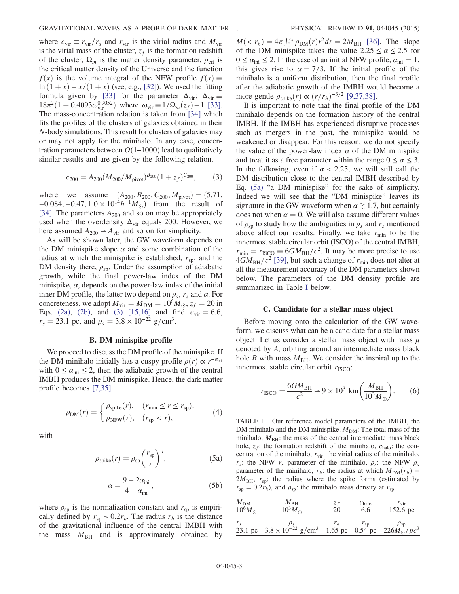where  $c_{\rm vir} \equiv r_{\rm vir}/r_s$  and  $r_{\rm vir}$  is the virial radius and  $M_{\rm vir}$ is the virial mass of the cluster,  $z_f$  is the formation redshift of the cluster,  $\Omega_m$  is the matter density parameter,  $\rho_{\rm cri}$  is the critical matter density of the Universe and the function  $f(x)$  is the volume integral of the NFW profile  $f(x) \equiv$ ln  $(1 + x) - x/(1 + x)$  (see, e.g., [32]). We used the fitting formula given by [33] for the parameter  $\Delta_{\rm vir}$ :  $\Delta_{\rm vir} \equiv$  $18\pi^2(1+0.4093\omega_{vir}^{0.9052})$  where  $\omega_{vir} \equiv 1/\Omega_m(z_f) - 1$  [33].<br>The mass-concentration relation is taken from [34] which The mass-concentration relation is taken from [34] which fits the profiles of the clusters of galaxies obtained in their N-body simulations. This result for clusters of galaxies may or may not apply for the minihalo. In any case, concentration parameters between  $O(1-1000)$  lead to qualitatively similar results and are given by the following relation.

$$
c_{200} = A_{200} (M_{200}/M_{\text{pivot}})^{B_{200}} (1 + z_f)^{C_{200}}, \tag{3}
$$

where we assume  $(A_{200}, B_{200}, C_{200}, M_{\text{pivot}}) = (5.71,$  $-0.084, -0.47, 1.0 \times 10^{14} h^{-1} M_{\odot}$  from the result of [34]. The parameters  $A_{200}$  and so on may be appropriately used when the overdensity  $\Delta_{\text{vir}}$  equals 200. However, we here assumed  $A_{200} \simeq A_{\rm vir}$  and so on for simplicity.

As will be shown later, the GW waveform depends on the DM minispike slope  $\alpha$  and some combination of the radius at which the minispike is established,  $r_{\rm{sp}}$ , and the DM density there,  $\rho_{\rm sp}$ . Under the assumption of adiabatic growth, while the final power-law index of the DM minispike,  $\alpha$ , depends on the power-law index of the initial inner DM profile, the latter two depend on  $\rho_s$ , r<sub>s</sub> and  $\alpha$ . For concreteness, we adopt  $M_{\text{vir}} = M_{\text{DM}} = 10^6 M_{\odot}$ ,  $z_f = 20$  in Eqs. (2a), (2b), and (3) [15,16] and find  $c_{\text{vir}} = 6.6$ ,  $r_s = 23.1$  pc, and  $\rho_s = 3.8 \times 10^{-22}$  g/cm<sup>3</sup>.

#### B. DM minispike profile

We proceed to discuss the DM profile of the minispike. If the DM minihalo initially has a cuspy profile  $\rho(r) \propto r^{-\alpha_{\text{ini}}}$ with  $0 \le \alpha_{\text{ini}} \le 2$ , then the adiabatic growth of the central IMBH produces the DM minispike. Hence, the dark matter profile becomes [7,35]

$$
\rho_{\rm DM}(r) = \begin{cases} \rho_{\rm spike}(r), & (r_{\rm min} \le r \le r_{\rm sp}), \\ \rho_{\rm NFW}(r), & (r_{\rm sp} < r), \end{cases} \tag{4}
$$

with

$$
\rho_{\text{spike}}(r) = \rho_{\text{sp}} \left(\frac{r_{\text{sp}}}{r}\right)^{\alpha},\tag{5a}
$$

$$
\alpha = \frac{9 - 2\alpha_{\text{ini}}}{4 - \alpha_{\text{ini}}},\tag{5b}
$$

where  $\rho_{\rm sn}$  is the normalization constant and  $r_{\rm sn}$  is empirically defined by  $r_{\rm sp} \sim 0.2r_h$ . The radius  $r_h$  is the distance of the gravitational influence of the central IMBH with the mass  $M_{\text{BH}}$  and is approximately obtained by

 $M(< r_h) = 4\pi \int_0^{r_h} \rho_{DM}(r) r^2 dr = 2M_{BH}$  [36]. The slope of the DM minispike takes the value 2.25  $\lt \alpha \lt 2.5$  for of the DM minispike takes the value  $2.25 \le \alpha \le 2.5$  for  $0 \le \alpha_{\text{ini}} \le 2$ . In the case of an initial NFW profile,  $\alpha_{\text{ini}} = 1$ , this gives rise to  $\alpha = \frac{7}{3}$ . If the initial profile of the minihalo is a uniform distribution, then the final profile after the adiabatic growth of the IMBH would become a more gentle  $\rho_{spike}(r) \propto (r/r_h)^{-3/2}$  [9,37,38].

It is important to note that the final profile of the DM minihalo depends on the formation history of the central IMBH. If the IMBH has experienced disruptive processes such as mergers in the past, the minispike would be weakened or disappear. For this reason, we do not specify the value of the power-law index  $\alpha$  of the DM minispike and treat it as a free parameter within the range  $0 \le \alpha \le 3$ . In the following, even if  $\alpha$  < 2.25, we will still call the DM distribution close to the central IMBH described by Eq. (5a) "a DM minispike" for the sake of simplicity. Indeed we will see that the "DM minispike" leaves its signature in the GW waveform when  $\alpha \gtrsim 1.7$ , but certainly does not when  $\alpha = 0$ . We will also assume different values of  $\rho_{sp}$  to study how the ambiguities in  $\rho_s$  and  $r_s$  mentioned above affect our results. Finally, we take  $r_{\min}$  to be the innermost stable circular orbit (ISCO) of the central IMBH,  $r_{\text{min}} = r_{\text{ISCO}} \equiv 6GM_{\text{BH}}/c^2$ . It may be more precise to use  $4GM_{\text{BH}}/c^2$  [39], but such a change of  $r_{\text{min}}$  does not alter at all the measurement accuracy of the DM parameters shown below. The parameters of the DM density profile are summarized in Table I below.

#### C. Candidate for a stellar mass object

Before moving onto the calculation of the GW waveform, we discuss what can be a candidate for a stellar mass object. Let us consider a stellar mass object with mass  $\mu$ denoted by A, orbiting around an intermediate mass black hole B with mass  $M_{\text{BH}}$ . We consider the inspiral up to the innermost stable circular orbit  $r_{\text{ISCO}}$ :

$$
r_{\text{ISCO}} = \frac{6GM_{\text{BH}}}{c^2} \simeq 9 \times 10^3 \text{ km} \left(\frac{M_{\text{BH}}}{10^3 M_{\odot}}\right). \qquad (6)
$$

TABLE I. Our reference model parameters of the IMBH, the DM minihalo and the DM minispike.  $M_{DM}$ : The total mass of the minihalo,  $M_{BH}$ : the mass of the central intermediate mass black hole,  $z_f$ : the formation redshift of the minihalo,  $c_{halo}$ : the concentration of the minihalo,  $r_{\text{vir}}$ : the virial radius of the minihalo,  $r_s$ : the NFW  $r_s$  parameter of the minihalo,  $\rho_s$ : the NFW  $\rho_s$ parameter of the minihalo,  $r_h$ : the radius at which  $M_{DM}(r_h)$  =  $2M_{\text{BH}}$ ,  $r_{\text{sp}}$ : the radius where the spike forms (estimated by  $r_{sp} = 0.2r_h$ ), and  $\rho_{sp}$ : the minihalo mass density at  $r_{sp}$ .

| $M_{DM}$<br>10 <sup>6</sup> $M_{\odot}$ | $M_{\rm BH}$                                                                                       | $z_f$ | $c_{\rm halo}$    | $r_{\rm vir}$ |
|-----------------------------------------|----------------------------------------------------------------------------------------------------|-------|-------------------|---------------|
|                                         | $10^3 M_{\odot}$                                                                                   | 20    | 6.6               | 152.6 pc      |
|                                         | 23.1 pc $3.8 \times 10^{-22}$ g/cm <sup>3</sup> 1.65 pc 0.54 pc 226M <sub>o</sub> /pc <sup>3</sup> |       | $\mathbf{r}_{sp}$ | $\mu_{sp}$    |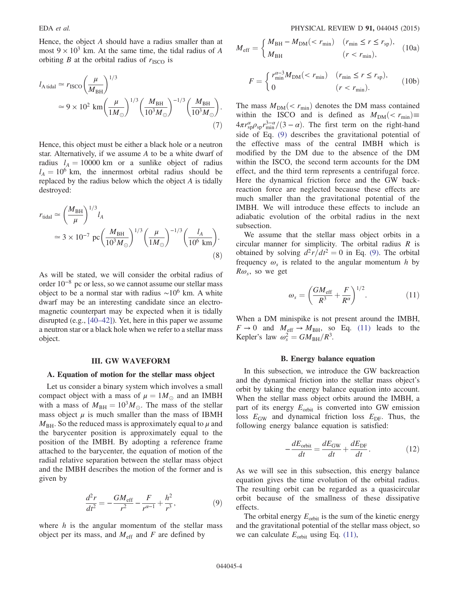Hence, the object A should have a radius smaller than at most  $9 \times 10^3$  km. At the same time, the tidal radius of A orbiting  $B$  at the orbital radius of  $r_{\text{ISCO}}$  is

$$
l_{\text{A tidal}} \simeq r_{\text{ISCO}} \left(\frac{\mu}{M_{\text{BH}}}\right)^{1/3} \\
\simeq 9 \times 10^2 \text{ km} \left(\frac{\mu}{1M_{\odot}}\right)^{1/3} \left(\frac{M_{\text{BH}}}{10^3 M_{\odot}}\right)^{-1/3} \left(\frac{M_{\text{BH}}}{10^3 M_{\odot}}\right).
$$
\n(7)

Hence, this object must be either a black hole or a neutron star. Alternatively, if we assume A to be a white dwarf of radius  $l_A = 10000$  km or a sunlike object of radius  $l_A = 10^6$  km, the innermost orbital radius should be replaced by the radius below which the object A is tidally destroyed:

$$
r_{\text{tidal}} \simeq \left(\frac{M_{\text{BH}}}{\mu}\right)^{1/3} l_A
$$
  
\simeq 3 \times 10^{-7} pc \left(\frac{M\_{\text{BH}}}{10^3 M\_{\odot}}\right)^{1/3} \left(\frac{\mu}{1M\_{\odot}}\right)^{-1/3} \left(\frac{l\_A}{10^6 \text{ km}}\right).  
\t(8)

As will be stated, we will consider the orbital radius of order 10<sup>−</sup><sup>8</sup> pc or less, so we cannot assume our stellar mass object to be a normal star with radius  $\sim 10^6$  km. A white dwarf may be an interesting candidate since an electromagnetic counterpart may be expected when it is tidally disrupted (e.g., [40–42]). Yet, here in this paper we assume a neutron star or a black hole when we refer to a stellar mass object.

#### III. GW WAVEFORM

#### A. Equation of motion for the stellar mass object

Let us consider a binary system which involves a small compact object with a mass of  $\mu = 1M_{\odot}$  and an IMBH with a mass of  $M_{BH} = 10^3 M_{\odot}$ . The mass of the stellar mass object  $\mu$  is much smaller than the mass of IBMH  $M_{\text{BH}}$ . So the reduced mass is approximately equal to  $\mu$  and the barycenter position is approximately equal to the position of the IMBH. By adopting a reference frame attached to the barycenter, the equation of motion of the radial relative separation between the stellar mass object and the IMBH describes the motion of the former and is given by

$$
\frac{d^2r}{dt^2} = -\frac{GM_{\text{eff}}}{r^2} - \frac{F}{r^{a-1}} + \frac{h^2}{r^3},\tag{9}
$$

where  $h$  is the angular momentum of the stellar mass object per its mass, and  $M_{\text{eff}}$  and F are defined by

$$
M_{\text{eff}} = \begin{cases} M_{\text{BH}} - M_{\text{DM}} & (r_{\text{min}}) \quad (r_{\text{min}} \le r \le r_{\text{sp}}), \\ M_{\text{BH}} & (r < r_{\text{min}}), \end{cases} \tag{10a}
$$

$$
F = \begin{cases} r_{\min}^{\alpha - 3} M_{\text{DM}} & (r_{\min} \le r \le r_{\text{sp}}), \\ 0 & (r < r_{\min}). \end{cases} \tag{10b}
$$

The mass  $M_{DM}$  (<  $r_{min}$ ) denotes the DM mass contained within the ISCO and is defined as  $M_{DM} < r_{min}$  =  $4\pi r_{\rm sp}^{\alpha} \rho_{\rm sp} r_{\rm min}^{3-\alpha}/(3-\alpha)$ . The first term on the right-hand side of Eq. (9) describes the gravitational potential of the effective mass of the central IMBH which is modified by the DM due to the absence of the DM within the ISCO, the second term accounts for the DM effect, and the third term represents a centrifugal force. Here the dynamical friction force and the GW backreaction force are neglected because these effects are much smaller than the gravitational potential of the IMBH. We will introduce these effects to include an adiabatic evolution of the orbital radius in the next subsection.

We assume that the stellar mass object orbits in a circular manner for simplicity. The orbital radius  $R$  is obtained by solving  $d^2r/dt^2=0$  in Eq. (9). The orbital frequency  $\omega_s$  is related to the angular momentum h by  $R\omega_s$ , so we get

$$
\omega_s = \left(\frac{GM_{\rm eff}}{R^3} + \frac{F}{R^{\alpha}}\right)^{1/2}.\tag{11}
$$

When a DM minispike is not present around the IMBH,  $F \to 0$  and  $M_{\text{eff}} \to M_{\text{BH}}$ , so Eq. (11) leads to the Kepler's law  $\omega_s^2 = GM_{\text{BH}}/R^3$ .

#### B. Energy balance equation

In this subsection, we introduce the GW backreaction and the dynamical friction into the stellar mass object's orbit by taking the energy balance equation into account. When the stellar mass object orbits around the IMBH, a part of its energy  $E_{\text{orbit}}$  is converted into GW emission loss  $E_{GW}$  and dynamical friction loss  $E_{DF}$ . Thus, the following energy balance equation is satisfied:

$$
-\frac{dE_{\text{orbit}}}{dt} = \frac{dE_{\text{GW}}}{dt} + \frac{dE_{\text{DF}}}{dt}.
$$
 (12)

As we will see in this subsection, this energy balance equation gives the time evolution of the orbital radius. The resulting orbit can be regarded as a quasicircular orbit because of the smallness of these dissipative effects.

The orbital energy  $E_{\text{orbit}}$  is the sum of the kinetic energy and the gravitational potential of the stellar mass object, so we can calculate  $E_{\text{orbit}}$  using Eq. (11),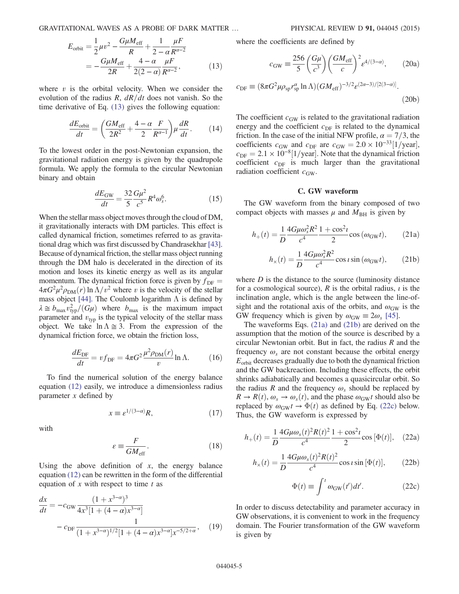GRAVITATIONAL WAVES AS A PROBE OF DARK MATTER … PHYSICAL REVIEW D 91, 044045 (2015)

$$
E_{\text{orbit}} = \frac{1}{2}\mu v^2 - \frac{G\mu M_{\text{eff}}}{R} + \frac{1}{2 - \alpha} \frac{\mu F}{R^{\alpha - 2}}
$$
  
= 
$$
-\frac{G\mu M_{\text{eff}}}{2R} + \frac{4 - \alpha}{2(2 - \alpha)} \frac{\mu F}{R^{\alpha - 2}},
$$
(13)

where  $v$  is the orbital velocity. When we consider the evolution of the radius R,  $dR/dt$  does not vanish. So the time derivative of Eq. (13) gives the following equation:

$$
\frac{dE_{\text{orbit}}}{dt} = \left(\frac{GM_{\text{eff}}}{2R^2} + \frac{4-\alpha}{2} \frac{F}{R^{\alpha-1}}\right) \mu \frac{dR}{dt}.
$$
 (14)

To the lowest order in the post-Newtonian expansion, the gravitational radiation energy is given by the quadrupole formula. We apply the formula to the circular Newtonian binary and obtain

$$
\frac{dE_{\text{GW}}}{dt} = \frac{32}{5} \frac{G\mu^2}{c^5} R^4 \omega_s^6. \tag{15}
$$

When the stellar mass object moves through the cloud of DM, it gravitationally interacts with DM particles. This effect is called dynamical friction, sometimes referred to as gravitational drag which was first discussed by Chandrasekhar [43]. Because of dynamical friction, the stellar mass object running through the DM halo is decelerated in the direction of its motion and loses its kinetic energy as well as its angular momentum. The dynamical friction force is given by  $f_{\text{DF}} =$  $4\pi G^2 \mu^2 \rho_{DM}(r) \ln \Lambda/v^2$  where v is the velocity of the stellar mass object [44]. The Coulomb logarithm  $\Lambda$  is defined by  $\lambda \cong b_{\text{max}} v_{\text{typ}}^2/(G\mu)$  where  $b_{\text{max}}$  is the maximum impact<br>parameter and  $v_{\text{max}}$  is the typical velocity of the stellar mass parameter and  $v_{\text{typ}}$  is the typical velocity of the stellar mass object. We take  $\ln \Lambda \approx 3$ . From the expression of the dynamical friction force, we obtain the friction loss,

$$
\frac{dE_{\rm DF}}{dt} = v f_{\rm DF} = 4\pi G^2 \frac{\mu^2 \rho_{\rm DM}(r)}{v} \ln \Lambda. \tag{16}
$$

To find the numerical solution of the energy balance equation (12) easily, we introduce a dimensionless radius parameter  $x$  defined by

$$
x \equiv \varepsilon^{1/(3-\alpha)} R,\tag{17}
$$

with

$$
\varepsilon \equiv \frac{F}{GM_{\rm eff}}.\tag{18}
$$

Using the above definition of  $x$ , the energy balance equation (12) can be rewritten in the form of the differential equation of  $x$  with respect to time  $t$  as

$$
\frac{dx}{dt} = -c_{GW} \frac{(1+x^{3-\alpha})^3}{4x^3[1+(4-\alpha)x^{3-\alpha}]}
$$

$$
-c_{DF} \frac{1}{(1+x^{3-\alpha})^{1/2}[1+(4-\alpha)x^{3-\alpha}]x^{-5/2+\alpha}}, \quad (19)
$$

where the coefficients are defined by

$$
c_{\rm GW} \equiv \frac{256}{5} \left(\frac{G\mu}{c^3}\right) \left(\frac{GM_{\rm eff}}{c}\right)^2 \varepsilon^{4/(3-\alpha)},\qquad(20a)
$$

$$
c_{\rm DF} \equiv (8\pi G^2 \mu \rho_{\rm sp} r_{\rm sp}^{\alpha} \ln \Lambda) (GM_{\rm eff})^{-3/2} \varepsilon^{(2\alpha - 3)/[2(3-\alpha)]}.
$$

$$
(20b)
$$

The coefficient  $c_{GW}$  is related to the gravitational radiation energy and the coefficient  $c<sub>DF</sub>$  is related to the dynamical friction. In the case of the initial NFW profile,  $\alpha = \frac{7}{3}$ , the coefficients  $c_{\text{GW}}$  and  $c_{\text{DF}}$  are  $c_{\text{GW}} = 2.0 \times 10^{-33} [1/\text{year}]$ ,  $c_{\text{DE}} = 2.1 \times 10^{-8}$ [1/year]. Note that the dynamical friction coefficient  $c_{\text{DF}}$  is much larger than the gravitational radiation coefficient  $c_{\text{GW}}$ .

# C. GW waveform

The GW waveform from the binary composed of two compact objects with masses  $\mu$  and  $M_{BH}$  is given by

$$
h_{+}(t) = \frac{1}{D} \frac{4G\mu\omega_{s}^{2}R^{2}}{c^{4}} \frac{1 + \cos^{2}t}{2} \cos{(\omega_{\text{GW}}t)},
$$
 (21a)

$$
h_{\times}(t) = \frac{1}{D} \frac{4G\mu\omega_s^2 R^2}{c^4} \cos\iota\sin\left(\omega_{\rm GW}t\right),\qquad(21b)
$$

where  $D$  is the distance to the source (luminosity distance for a cosmological source), R is the orbital radius,  $\iota$  is the inclination angle, which is the angle between the line-ofsight and the rotational axis of the orbits, and  $\omega_{GW}$  is the GW frequency which is given by  $\omega_{GW} \equiv 2\omega_s$  [45].

The waveforms Eqs. (21a) and (21b) are derived on the assumption that the motion of the source is described by a circular Newtonian orbit. But in fact, the radius  $R$  and the frequency  $\omega_s$  are not constant because the orbital energy  $E_{\text{orbit}}$  decreases gradually due to both the dynamical friction and the GW backreaction. Including these effects, the orbit shrinks adiabatically and becomes a quasicircular orbit. So the radius R and the frequency  $\omega_s$  should be replaced by  $R \to R(t), \omega_s \to \omega_s(t)$ , and the phase  $\omega_{\rm GW} t$  should also be replaced by  $\omega_{\text{GW}}t \rightarrow \Phi(t)$  as defined by Eq. (22c) below. Thus, the GW waveform is expressed by

$$
h_{+}(t) = \frac{1}{D} \frac{4G\mu\omega_{s}(t)^{2}R(t)^{2}}{c^{4}} \frac{1 + \cos^{2}t}{2} \cos{[\Phi(t)]}, \quad (22a)
$$

$$
h_{\times}(t) = \frac{1}{D} \frac{4G\mu\omega_{s}(t)^{2}R(t)^{2}}{c^{4}} \cos\iota\sin[\Phi(t)],
$$
 (22b)

$$
\Phi(t) \equiv \int^{t} \omega_{\rm GW}(t')dt'. \tag{22c}
$$

In order to discuss detectability and parameter accuracy in GW observations, it is convenient to work in the frequency domain. The Fourier transformation of the GW waveform is given by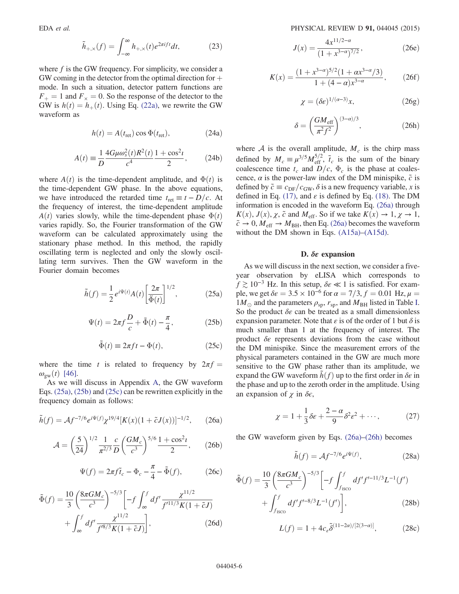$$
\tilde{h}_{+,\times}(f) = \int_{-\infty}^{\infty} h_{+,\times}(t) e^{2\pi i f t} dt,
$$
\n(23)

where  $f$  is the GW frequency. For simplicity, we consider a GW coming in the detector from the optimal direction for  $+$ mode. In such a situation, detector pattern functions are  $F_+ = 1$  and  $F_\times = 0$ . So the response of the detector to the GW is  $h(t) = h_+(t)$ . Using Eq. (22a), we rewrite the GW GW is  $h(t) = h_+(t)$ . Using Eq. (22a), we rewrite the GW waveform as

$$
h(t) = A(t_{\rm ret}) \cos \Phi(t_{\rm ret}), \tag{24a}
$$

$$
A(t) \equiv \frac{1}{D} \frac{4G\mu\omega_s^2(t)R^2(t)}{c^4} \frac{1 + \cos^2 t}{2}, \qquad (24b)
$$

where  $A(t)$  is the time-dependent amplitude, and  $\Phi(t)$  is the time-dependent GW phase. In the above equations, we have introduced the retarded time  $t_{\text{ret}} \equiv t - D/c$ . At the frequency of interest, the time-dependent amplitude  $A(t)$  varies slowly, while the time-dependent phase  $\Phi(t)$ varies rapidly. So, the Fourier transformation of the GW waveform can be calculated approximately using the stationary phase method. In this method, the rapidly oscillating term is neglected and only the slowly oscillating term survives. Then the GW waveform in the Fourier domain becomes

$$
\tilde{h}(f) = \frac{1}{2} e^{i\Psi(t)} A(t) \left[ \frac{2\pi}{\ddot{\Phi}(t)} \right]^{1/2},\tag{25a}
$$

$$
\Psi(t) = 2\pi f \frac{D}{c} + \tilde{\Phi}(t) - \frac{\pi}{4},\qquad (25b)
$$

$$
\tilde{\Phi}(t) \equiv 2\pi ft - \Phi(t),\tag{25c}
$$

where the time t is related to frequency by  $2\pi f =$  $\omega_{\rm gw}(t)$  [46].

As we will discuss in Appendix A, the GW waveform Eqs. (25a), (25b) and (25c) can be rewritten explicitly in the frequency domain as follows:

$$
\tilde{h}(f) = \mathcal{A}f^{-7/6}e^{i\Psi(f)}\chi^{19/4}[K(x)(1+\tilde{c}J(x))]^{-1/2},\qquad(26a)
$$

$$
\mathcal{A} = \left(\frac{5}{24}\right)^{1/2} \frac{1}{\pi^{2/3}} \frac{c}{D} \left(\frac{GM_c}{c^3}\right)^{5/6} \frac{1 + \cos^2 t}{2},\qquad(26b)
$$

$$
\Psi(f) = 2\pi f \tilde{t}_c - \Phi_c - \frac{\pi}{4} - \tilde{\Phi}(f),\tag{26c}
$$

$$
\tilde{\Phi}(f) = \frac{10}{3} \left( \frac{8\pi GM_c}{c^3} \right)^{-5/3} \left[ -f \int_{\infty}^{f} df' \frac{\chi^{11/2}}{f'^{11/3} K (1 + \tilde{c} J)} + \int_{\infty}^{f} df' \frac{\chi^{11/2}}{f'^{8/3} K (1 + \tilde{c} J)} \right],
$$
\n(26d)

$$
J(x) = \frac{4x^{11/2 - \alpha}}{(1 + x^{3 - \alpha})^{7/2}},
$$
 (26e)

$$
K(x) = \frac{(1+x^{3-\alpha})^{5/2}(1+\alpha x^{3-\alpha}/3)}{1+(4-\alpha)x^{3-\alpha}},
$$
 (26f)

$$
\chi = (\delta \varepsilon)^{1/(\alpha - 3)} x,\tag{26g}
$$

$$
\delta = \left(\frac{GM_{\rm eff}}{\pi^2 f^2}\right)^{(3-\alpha)/3},\tag{26h}
$$

where A is the overall amplitude,  $M_c$  is the chirp mass defined by  $M_c \equiv \mu^{3/5} M_{\text{eff}}^{5/2}$ ,  $\tilde{t}_c$  is the sum of the binary coalescence time  $t_c$  and  $D/c$ ,  $\Phi_c$  is the phase at coalescence,  $\alpha$  is the power-law index of the DM minispike,  $\tilde{c}$  is defined by  $\tilde{c} \equiv c_{\text{DF}}/c_{\text{GW}}$ ,  $\delta$  is a new frequency variable, x is defined in Eq. (17), and  $\varepsilon$  is defined by Eq. (18). The DM information is encoded in the waveform Eq. (26a) through  $K(x)$ ,  $J(x)$ ,  $\chi$ ,  $\tilde{c}$  and  $M_{\text{eff}}$ . So if we take  $K(x) \rightarrow 1$ ,  $\chi \rightarrow 1$ ,  $\tilde{c} \rightarrow 0$ ,  $M_{\text{eff}} \rightarrow M_{\text{BH}}$ , then Eq. (26a) becomes the waveform without the DM shown in Eqs. (A15a)–(A15d).

#### D. δε expansion

As we will discuss in the next section, we consider a fiveyear observation by eLISA which corresponds to  $f \gtrsim 10^{-3}$  Hz. In this setup,  $\delta \epsilon \ll 1$  is satisfied. For example, we get  $\delta \epsilon = 3.5 \times 10^{-6}$  for  $\alpha = 7/3$ ,  $f = 0.01$  Hz,  $\mu =$  $1M_{\odot}$  and the parameters  $\rho_{\rm sp}$ ,  $r_{\rm sp}$ , and  $M_{\rm BH}$  listed in Table I. So the product  $\delta \varepsilon$  can be treated as a small dimensionless expansion parameter. Note that  $\varepsilon$  is of the order of 1 but  $\delta$  is much smaller than 1 at the frequency of interest. The product  $\delta \varepsilon$  represents deviations from the case without the DM minispike. Since the measurement errors of the physical parameters contained in the GW are much more sensitive to the GW phase rather than its amplitude, we expand the GW waveform  $h(f)$  up to the first order in  $\delta \varepsilon$  in the phase and up to the zeroth order in the amplitude. Using an expansion of  $\chi$  in  $\delta \epsilon$ ,

$$
\chi = 1 + \frac{1}{3}\delta\varepsilon + \frac{2 - \alpha}{9}\delta^2\varepsilon^2 + \cdots, \qquad (27)
$$

the GW waveform given by Eqs. (26a)–(26h) becomes

$$
\tilde{h}(f) = \mathcal{A}f^{-7/6}e^{i\Psi(f)},\tag{28a}
$$

$$
\tilde{\Phi}(f) = \frac{10}{3} \left( \frac{8\pi GM_c}{c^3} \right)^{-5/3} \left[ -f \int_{f_{\text{ISCO}}}^{f} df' f'^{-11/3} L^{-1}(f') + \int_{f_{\text{ISCO}}}^{f} df' f'^{-8/3} L^{-1}(f') \right],
$$
\n(28b)

$$
L(f) = 1 + 4c_e \tilde{\delta}^{(11-2\alpha)/[2(3-\alpha)]},
$$
 (28c)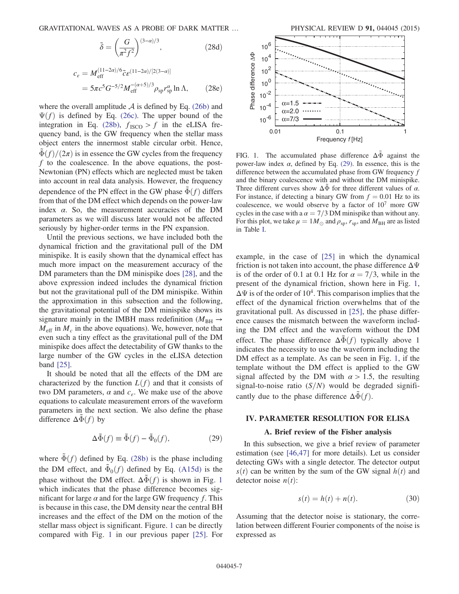GRAVITATIONAL WAVES AS A PROBE OF DARK MATTER … PHYSICAL REVIEW D 91, 044045 (2015)

$$
\tilde{\delta} = \left(\frac{G}{\pi^2 f^2}\right)^{(3-a)/3},\tag{28d}
$$

$$
c_{\varepsilon} = M_{\text{eff}}^{(11-2\alpha)/6} \tilde{c} \varepsilon^{(11-2\alpha)/[2(3-\alpha)]}
$$
  
=  $5\pi c^5 G^{-5/2} M_{\text{eff}}^{-(\alpha+5)/3} \rho_{\text{sp}} r_{\text{sp}}^{\alpha} \ln \Lambda,$  (28e)

where the overall amplitude  $A$  is defined by Eq. (26b) and  $\Psi(f)$  is defined by Eq. (26c). The upper bound of the integration in Eq. (28b),  $f_{\text{ISCO}} > f$  in the eLISA frequency band, is the GW frequency when the stellar mass object enters the innermost stable circular orbit. Hence,  $\Phi(f)/(2\pi)$  is in essence the GW cycles from the frequency  $f$  to the coalescence. In the above equations, the post-Newtonian (PN) effects which are neglected must be taken into account in real data analysis. However, the frequency dependence of the PN effect in the GW phase  $\tilde{\Phi}(f)$  differs from that of the DM effect which depends on the power-law index  $\alpha$ . So, the measurement accuracies of the DM parameters as we will discuss later would not be affected seriously by higher-order terms in the PN expansion.

Until the previous sections, we have included both the dynamical friction and the gravitational pull of the DM minispike. It is easily shown that the dynamical effect has much more impact on the measurement accuracy of the DM parameters than the DM minispike does [28], and the above expression indeed includes the dynamical friction but not the gravitational pull of the DM minispike. Within the approximation in this subsection and the following, the gravitational potential of the DM minispike shows its signature mainly in the IMBH mass redefinition ( $M_{BH} \rightarrow$  $M_{\text{eff}}$  in  $M_c$  in the above equations). We, however, note that even such a tiny effect as the gravitational pull of the DM minispike does affect the detectability of GW thanks to the large number of the GW cycles in the eLISA detection band [25].

It should be noted that all the effects of the DM are characterized by the function  $L(f)$  and that it consists of two DM parameters,  $\alpha$  and  $c_{\varepsilon}$ . We make use of the above equations to calculate measurement errors of the waveform parameters in the next section. We also define the phase difference  $\Delta \Phi(f)$  by

$$
\Delta \tilde{\Phi}(f) \equiv \tilde{\Phi}(f) - \tilde{\Phi}_0(f), \qquad (29)
$$

where  $\Phi(f)$  defined by Eq. (28b) is the phase including the DM effect, and  $\Phi_0(f)$  defined by Eq. (A15d) is the phase without the DM effect.  $\Delta \tilde{\Phi}(f)$  is shown in Fig. 1 which indicates that the phase difference becomes significant for large  $\alpha$  and for the large GW frequency f. This is because in this case, the DM density near the central BH increases and the effect of the DM on the motion of the stellar mass object is significant. Figure. 1 can be directly compared with Fig. 1 in our previous paper [25]. For



FIG. 1. The accumulated phase difference  $\Delta \tilde{\Phi}$  against the power-law index  $α$ , defined by Eq. (29). In essence, this is the difference between the accumulated phase from GW frequency f and the binary coalescence with and without the DM minispike. Three different curves show  $\Delta \Phi$  for three different values of  $\alpha$ . For instance, if detecting a binary GW from  $f = 0.01$  Hz to its coalescence, we would observe by a factor of  $10<sup>7</sup>$  more GW cycles in the case with a  $\alpha = \frac{7}{3}$  DM minispike than without any. For this plot, we take  $\mu = 1M_{\odot}$  and  $\rho_{\rm sp}$ ,  $r_{\rm sp}$ , and  $M_{\rm BH}$  are as listed in Table I.

example, in the case of [25] in which the dynamical friction is not taken into account, the phase difference  $\Delta\Psi$ is of the order of 0.1 at 0.1 Hz for  $\alpha = \frac{7}{3}$ , while in the present of the dynamical friction, shown here in Fig. 1,  $\Delta \Psi$  is of the order of 10<sup>4</sup>. This comparison implies that the effect of the dynamical friction overwhelms that of the gravitational pull. As discussed in [25], the phase difference causes the mismatch between the waveform including the DM effect and the waveform without the DM effect. The phase difference  $\Delta \tilde{\Phi}(f)$  typically above 1 indicates the necessity to use the waveform including the DM effect as a template. As can be seen in Fig. 1, if the template without the DM effect is applied to the GW signal affected by the DM with  $\alpha > 1.5$ , the resulting signal-to-noise ratio  $(S/N)$  would be degraded significantly due to the phase difference  $\Delta \tilde{\Phi}(f)$ .

# IV. PARAMETER RESOLUTION FOR ELISA

#### A. Brief review of the Fisher analysis

In this subsection, we give a brief review of parameter estimation (see [46,47] for more details). Let us consider detecting GWs with a single detector. The detector output  $s(t)$  can be written by the sum of the GW signal  $h(t)$  and detector noise  $n(t)$ :

$$
s(t) = h(t) + n(t). \tag{30}
$$

Assuming that the detector noise is stationary, the correlation between different Fourier components of the noise is expressed as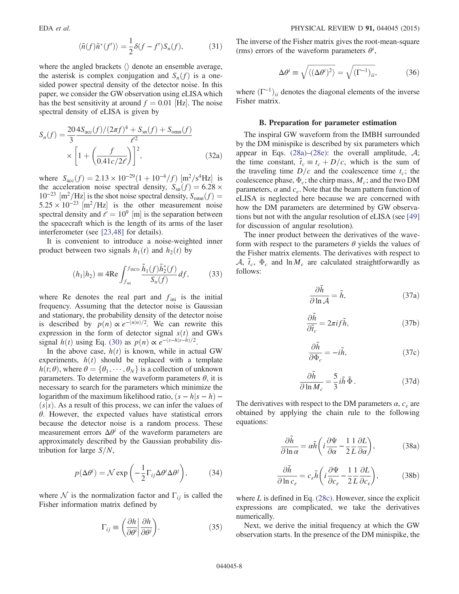$$
\langle \tilde{n}(f)\tilde{n}^*(f')\rangle = \frac{1}{2}\delta(f - f')S_n(f),\tag{31}
$$

where the angled brackets  $\langle \rangle$  denote an ensemble average, the asterisk is complex conjugation and  $S_n(f)$  is a onesided power spectral density of the detector noise. In this paper, we consider the GW observation using eLISA which has the best sensitivity at around  $f = 0.01$  [Hz]. The noise spectral density of eLISA is given by

$$
S_n(f) = \frac{20}{3} \frac{4S_{\text{acc}}(f)/(2\pi f)^4 + S_{\text{sn}}(f) + S_{\text{omn}}(f)}{\ell^2} \times \left[1 + \left(\frac{f}{0.41c/2\ell}\right)\right]^2,
$$
 (32a)

where  $S_{\text{acc}}(f) = 2.13 \times 10^{-29} (1 + 10^{-4}/f) [\text{m}^2/\text{s}^4\text{Hz}]$  is the acceleration noise spectral density,  $S_{\rm sn}(f) = 6.28 \times$  $10^{-23}$  [m<sup>2</sup>/Hz] is the shot noise spectral density,  $S_{\text{omn}}(f)$  =  $5.25 \times 10^{-23}$  [m<sup>2</sup>/Hz] is the other measurement noise spectral density and  $\ell = 10^9$  [m] is the separation between the spacecraft which is the length of its arms of the laser interferometer (see [23,48] for details).

It is convenient to introduce a noise-weighted inner product between two signals  $h_1(t)$  and  $h_2(t)$  by

$$
(h_1|h_2) \equiv 4\text{Re}\int_{f_{\text{ini}}}^{f_{\text{ISCO}}}\frac{\tilde{h}_1(f)\tilde{h}_2^*(f)}{S_n(f)}df,\tag{33}
$$

where Re denotes the real part and  $f_{\text{ini}}$  is the initial frequency. Assuming that the detector noise is Gaussian and stationary, the probability density of the detector noise is described by  $p(n) \propto e^{-(n/n)/2}$ . We can rewrite this expression in the form of detector signal s(t) and GWs expression in the form of detector signal  $s(t)$  and GWs signal  $h(t)$  using Eq. (30) as  $p(n) \propto e^{-(s-h|s-h)/2}$ .

In the above case,  $h(t)$  is known, while in actual GW experiments,  $h(t)$  should be replaced with a template  $h(t; \theta)$ , where  $\theta = {\theta_1, \dots, \theta_N}$  is a collection of unknown parameters. To determine the waveform parameters  $\theta$ , it is necessary to search for the parameters which minimize the logarithm of the maximum likelihood ratio,  $(s - h|s - h)$  −  $(s|s)$ . As a result of this process, we can infer the values of  $\theta$ . However, the expected values have statistical errors because the detector noise is a random process. These measurement errors  $\Delta\theta^i$  of the waveform parameters are approximately described by the Gaussian probability distribution for large  $S/N$ ,

$$
p(\Delta\theta^i) = \mathcal{N} \exp\left(-\frac{1}{2}\Gamma_{ij}\Delta\theta^i\Delta\theta^j\right),\tag{34}
$$

where N is the normalization factor and  $\Gamma_{ii}$  is called the Fisher information matrix defined by

$$
\Gamma_{ij} \equiv \left(\frac{\partial h}{\partial \theta^i} \middle| \frac{\partial h}{\partial \theta^j}\right). \tag{35}
$$

The inverse of the Fisher matrix gives the root-mean-square (rms) errors of the waveform parameters  $\theta^i$ ,

$$
\Delta \theta^i \equiv \sqrt{\langle (\Delta \theta^i)^2 \rangle} = \sqrt{(\Gamma^{-1})_{ii}}, \tag{36}
$$

where  $(\Gamma^{-1})_{ii}$  denotes the diagonal elements of the inverse Fisher matrix.

# B. Preparation for parameter estimation

The inspiral GW waveform from the IMBH surrounded by the DM minispike is described by six parameters which appear in Eqs.  $(28a)$ – $(28e)$ : the overall amplitude,  $\mathcal{A}$ ; the time constant,  $\tilde{t}_c \equiv t_c + D/c$ , which is the sum of the traveling time  $D/c$  and the coalescence time  $t_c$ ; the coalescence phase,  $\Phi_c$ ; the chirp mass,  $M_c$ ; and the two DM parameters,  $\alpha$  and  $c_{\varepsilon}$ . Note that the beam pattern function of eLISA is neglected here because we are concerned with how the DM parameters are determined by GW observations but not with the angular resolution of eLISA (see [49] for discussion of angular resolution).

The inner product between the derivatives of the waveform with respect to the parameters  $\theta$  yields the values of the Fisher matrix elements. The derivatives with respect to A,  $\bar{t}_c$ ,  $\Phi_c$  and ln M<sub>c</sub> are calculated straightforwardly as follows:

$$
\frac{\partial \tilde{h}}{\partial \ln \mathcal{A}} = \tilde{h},\tag{37a}
$$

$$
\frac{\partial \tilde{h}}{\partial \tilde{t}_c} = 2\pi i f \tilde{h},\tag{37b}
$$

$$
\frac{\partial \tilde{h}}{\partial \Phi_c} = -i\tilde{h},\qquad(37c)
$$

$$
\frac{\partial \tilde{h}}{\partial \ln M_c} = \frac{5}{3} i \tilde{h} \, \tilde{\Phi} \,. \tag{37d}
$$

The derivatives with respect to the DM parameters  $\alpha$ ,  $c_{\varepsilon}$  are obtained by applying the chain rule to the following equations:

$$
\frac{\partial \tilde{h}}{\partial \ln \alpha} = \alpha \tilde{h} \left( i \frac{\partial \Psi}{\partial \alpha} - \frac{1}{2} \frac{1}{L} \frac{\partial L}{\partial \alpha} \right),\tag{38a}
$$

$$
\frac{\partial \tilde{h}}{\partial \ln c_{\varepsilon}} = c_{\varepsilon} \tilde{h} \left( i \frac{\partial \Psi}{\partial c_{\varepsilon}} - \frac{1}{2} \frac{1}{L} \frac{\partial L}{\partial c_{\varepsilon}} \right),\tag{38b}
$$

where  $L$  is defined in Eq. (28c). However, since the explicit expressions are complicated, we take the derivatives numerically.

Next, we derive the initial frequency at which the GW observation starts. In the presence of the DM minispike, the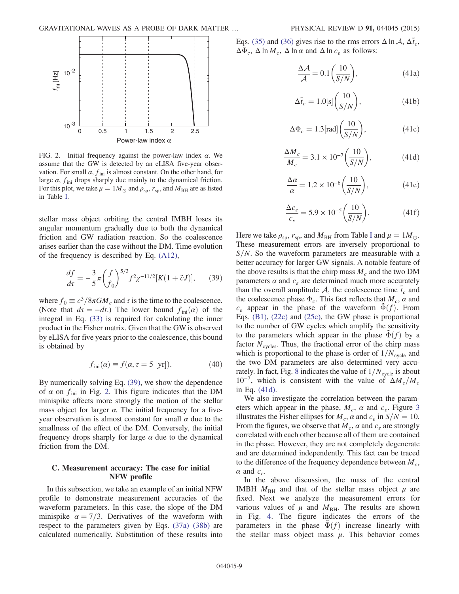

FIG. 2. Initial frequency against the power-law index  $\alpha$ . We assume that the GW is detected by an eLISA five-year observation. For small  $\alpha$ ,  $f_{\text{ini}}$  is almost constant. On the other hand, for large  $\alpha$ ,  $f_{\text{ini}}$  drops sharply due mainly to the dynamical friction. For this plot, we take  $\mu = 1M_{\odot}$  and  $\rho_{\rm sp}$ ,  $r_{\rm sp}$ , and  $M_{\rm BH}$  are as listed in Table I.

stellar mass object orbiting the central IMBH loses its angular momentum gradually due to both the dynamical friction and GW radiation reaction. So the coalescence arises earlier than the case without the DM. Time evolution of the frequency is described by Eq. (A12),

$$
\frac{df}{d\tau} = -\frac{3}{5}\pi \left(\frac{f}{f_0}\right)^{5/3} f^2 \chi^{-11/2} [K(1+\tilde{c}J)],\qquad(39)
$$

where  $f_0 \equiv c^3/8\pi G M_c$  and  $\tau$  is the time to the coalescence. (Note that  $d\tau = -dt$ .) The lower bound  $f_{\text{ini}}(\alpha)$  of the integral in Eq. (33) is required for calculating the inner product in the Fisher matrix. Given that the GW is observed by eLISA for five years prior to the coalescence, this bound is obtained by

$$
f_{\text{ini}}(\alpha) \equiv f(\alpha, \tau = 5 \text{ [yr]}).
$$
 (40)

By numerically solving Eq. (39), we show the dependence of  $\alpha$  on  $f_{\text{ini}}$  in Fig. 2. This figure indicates that the DM minispike affects more strongly the motion of the stellar mass object for larger  $\alpha$ . The initial frequency for a fiveyear observation is almost constant for small  $\alpha$  due to the smallness of the effect of the DM. Conversely, the initial frequency drops sharply for large  $\alpha$  due to the dynamical friction from the DM.

# C. Measurement accuracy: The case for initial NFW profile

In this subsection, we take an example of an initial NFW profile to demonstrate measurement accuracies of the waveform parameters. In this case, the slope of the DM minispike  $\alpha = \frac{7}{3}$ . Derivatives of the waveform with respect to the parameters given by Eqs. (37a)–(38b) are calculated numerically. Substitution of these results into Eqs. (35) and (36) gives rise to the rms errors  $\Delta \ln A$ ,  $\Delta t_c$ ,  $\Delta \Phi_c$ ,  $\Delta \ln M_c$ ,  $\Delta \ln \alpha$  and  $\Delta \ln c_e$  as follows:

$$
\frac{\Delta \mathcal{A}}{\mathcal{A}} = 0.1 \left( \frac{10}{S/N} \right),\tag{41a}
$$

$$
\Delta \tilde{t}_c = 1.0[s] \left( \frac{10}{S/N} \right),\tag{41b}
$$

$$
\Delta \Phi_c = 1.3 \text{[rad]} \left( \frac{10}{S/N} \right),\tag{41c}
$$

$$
\frac{\Delta M_c}{M_c} = 3.1 \times 10^{-7} \left( \frac{10}{S/N} \right),
$$
 (41d)

$$
\frac{\Delta \alpha}{\alpha} = 1.2 \times 10^{-6} \left( \frac{10}{S/N} \right),\tag{41e}
$$

$$
\frac{\Delta c_{\varepsilon}}{c_{\varepsilon}} = 5.9 \times 10^{-5} \left( \frac{10}{S/N} \right). \tag{41f}
$$

Here we take  $\rho_{sp}$ ,  $r_{sp}$ , and  $M_{BH}$  from Table I and  $\mu = 1M_{\odot}$ . These measurement errors are inversely proportional to  $S/N$ . So the waveform parameters are measurable with a better accuracy for larger GW signals. A notable feature of the above results is that the chirp mass  $M_c$  and the two DM parameters  $\alpha$  and  $c_{\epsilon}$  are determined much more accurately than the overall amplitude A, the coalescence time  $\tilde{t}_c$  and the coalescence phase  $\Phi_c$ . This fact reflects that  $M_c$ ,  $\alpha$  and  $c_{\varepsilon}$  appear in the phase of the waveform  $\Phi(f)$ . From Eqs. (B1), (22c) and (25c), the GW phase is proportional to the number of GW cycles which amplify the sensitivity to the parameters which appear in the phase  $\Phi(f)$  by a factor  $N_{\text{cycles}}$ . Thus, the fractional error of the chirp mass which is proportional to the phase is order of  $1/N_{\text{cycle}}$  and the two DM parameters are also determined very accurately. In fact, Fig. 8 indicates the value of  $1/N_{\text{cycle}}$  is about  $10^{-7}$ , which is consistent with the value of  $\Delta M_c/M_c$ in Eq. (41d).

We also investigate the correlation between the parameters which appear in the phase,  $M_c$ ,  $\alpha$  and  $c_{\varepsilon}$ . Figure 3 illustrates the Fisher ellipses for  $M_c$ ,  $\alpha$  and  $c_{\epsilon}$  in  $S/N = 10$ . From the figures, we observe that  $M_c$ ,  $\alpha$  and  $c_\varepsilon$  are strongly correlated with each other because all of them are contained in the phase. However, they are not completely degenerate and are determined independently. This fact can be traced to the difference of the frequency dependence between  $M_c$ ,  $\alpha$  and  $c_e$ .

In the above discussion, the mass of the central IMBH  $M_{\text{BH}}$  and that of the stellar mass object  $\mu$  are fixed. Next we analyze the measurement errors for various values of  $\mu$  and  $M_{BH}$ . The results are shown in Fig. 4. The figure indicates the errors of the parameters in the phase  $\Phi(f)$  increase linearly with the stellar mass object mass  $\mu$ . This behavior comes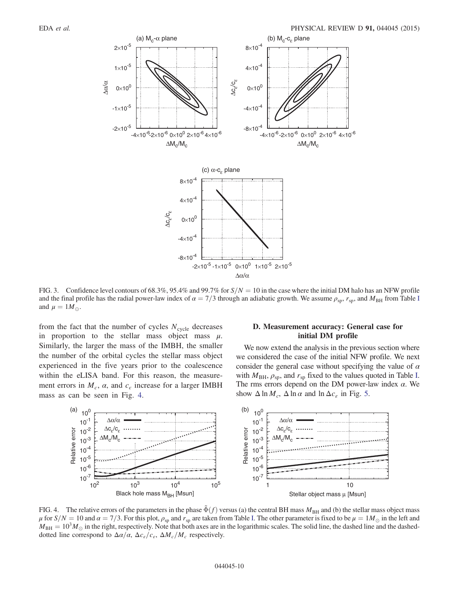

FIG. 3. Confidence level contours of 68.3%, 95.4% and 99.7% for  $S/N = 10$  in the case where the initial DM halo has an NFW profile and the final profile has the radial power-law index of  $\alpha = 7/3$  through an adiabatic growth. We assume  $\rho_{\rm sp}$ ,  $r_{\rm sp}$ , and  $M_{\rm BH}$  from Table I and  $\mu = 1M_{\odot}$ .

from the fact that the number of cycles  $N_{\text{cycle}}$  decreases in proportion to the stellar mass object mass  $\mu$ . Similarly, the larger the mass of the IMBH, the smaller the number of the orbital cycles the stellar mass object experienced in the five years prior to the coalescence within the eLISA band. For this reason, the measurement errors in  $M_c$ ,  $\alpha$ , and  $c<sub>e</sub>$  increase for a larger IMBH mass as can be seen in Fig. 4.

# D. Measurement accuracy: General case for initial DM profile

We now extend the analysis in the previous section where we considered the case of the initial NFW profile. We next consider the general case without specifying the value of  $\alpha$ with  $M_{\text{BH}}$ ,  $\rho_{\text{sn}}$ , and  $r_{\text{sn}}$  fixed to the values quoted in Table I. The rms errors depend on the DM power-law index  $\alpha$ . We show  $\Delta \ln M_c$ ,  $\Delta \ln \alpha$  and  $\ln \Delta c_{\epsilon}$  in Fig. 5.



FIG. 4. The relative errors of the parameters in the phase  $\Phi(f)$  versus (a) the central BH mass  $M_{\rm BH}$  and (b) the stellar mass object mass  $\mu$  for  $S/N = 10$  and  $\alpha = 7/3$ . For this plot,  $\rho_{sp}$  and  $r_{sp}$  are taken from Table I. The other parameter is fixed to be  $\mu = 1M_{\odot}$  in the left and  $M_{\text{BH}} = 10^3 M_{\odot}$  in the right, respectively. Note that both axes are in the logarithmic scales. The solid line, the dashed-line and the dasheddotted line correspond to  $\Delta \alpha/\alpha$ ,  $\Delta c_{\epsilon}/c_{\epsilon}$ ,  $\Delta M_c/M_c$  respectively.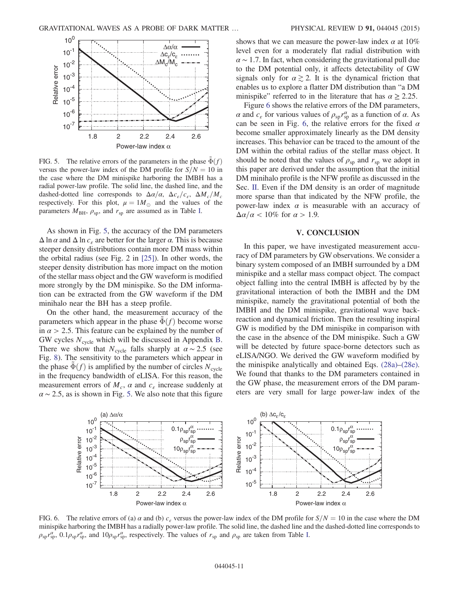

FIG. 5. The relative errors of the parameters in the phase  $\Phi(f)$ versus the power-law index of the DM profile for  $S/N = 10$  in the case where the DM minispike harboring the IMBH has a radial power-law profile. The solid line, the dashed line, and the dashed-dotted line corresponds to  $\Delta \alpha/\alpha$ ,  $\Delta c_e/c_e$ ,  $\Delta M_c/M_c$ respectively. For this plot,  $\mu = 1M_{\odot}$  and the values of the parameters  $M_{\text{BH}}$ ,  $\rho_{\text{sp}}$ , and  $r_{\text{sp}}$  are assumed as in Table I.

As shown in Fig. 5, the accuracy of the DM parameters  $\Delta \ln \alpha$  and  $\Delta \ln c_e$  are better for the larger  $\alpha$ . This is because steeper density distributions contain more DM mass within the orbital radius (see Fig. 2 in [25]). In other words, the steeper density distribution has more impact on the motion of the stellar mass object and the GW waveform is modified more strongly by the DM minispike. So the DM information can be extracted from the GW waveform if the DM minihalo near the BH has a steep profile.

On the other hand, the measurement accuracy of the parameters which appear in the phase  $\Phi(f)$  become worse in  $\alpha > 2.5$ . This feature can be explained by the number of GW cycles  $N_{\text{cycle}}$  which will be discussed in Appendix B. There we show that  $N_{\text{cycle}}$  falls sharply at  $\alpha \sim 2.5$  (see Fig. 8). The sensitivity to the parameters which appear in the phase  $\Phi(f)$  is amplified by the number of circles  $N_{\text{cycle}}$ in the frequency bandwidth of eLISA. For this reason, the measurement errors of  $M_c$ ,  $\alpha$  and  $c_{\epsilon}$  increase suddenly at  $\alpha \sim 2.5$ , as is shown in Fig. 5. We also note that this figure shows that we can measure the power-law index  $\alpha$  at 10% level even for a moderately flat radial distribution with  $\alpha \sim 1.7$ . In fact, when considering the gravitational pull due to the DM potential only, it affects detectability of GW signals only for  $\alpha \gtrsim 2$ . It is the dynamical friction that enables us to explore a flatter DM distribution than "a DM minispike" referred to in the literature that has  $\alpha \geq 2.25$ .

Figure 6 shows the relative errors of the DM parameters,  $\alpha$  and  $c_{\varepsilon}$  for various values of  $\rho_{\rm sp} r_{\rm sp}^{\alpha}$  as a function of  $\alpha$ . As can be seen in Fig. 6, the relative errors for the fixed  $\alpha$ become smaller approximately linearly as the DM density increases. This behavior can be traced to the amount of the DM within the orbital radius of the stellar mass object. It should be noted that the values of  $\rho_{sp}$  and  $r_{sp}$  we adopt in this paper are derived under the assumption that the initial DM minihalo profile is the NFW profile as discussed in the Sec. II. Even if the DM density is an order of magnitude more sparse than that indicated by the NFW profile, the power-law index  $\alpha$  is measurable with an accuracy of  $\Delta \alpha/\alpha$  < 10% for  $\alpha$  > 1.9.

#### V. CONCLUSION

In this paper, we have investigated measurement accuracy of DM parameters by GW observations. We consider a binary system composed of an IMBH surrounded by a DM minispike and a stellar mass compact object. The compact object falling into the central IMBH is affected by by the gravitational interaction of both the IMBH and the DM minispike, namely the gravitational potential of both the IMBH and the DM minispike, gravitational wave backreaction and dynamical friction. Then the resulting inspiral GW is modified by the DM minispike in comparison with the case in the absence of the DM minispike. Such a GW will be detected by future space-borne detectors such as eLISA/NGO. We derived the GW waveform modified by the minispike analytically and obtained Eqs. (28a)–(28e). We found that thanks to the DM parameters contained in the GW phase, the measurement errors of the DM parameters are very small for large power-law index of the



FIG. 6. The relative errors of (a)  $\alpha$  and (b)  $c<sub>e</sub>$  versus the power-law index of the DM profile for  $S/N = 10$  in the case where the DM minispike harboring the IMBH has a radially power-law profile. The solid line, the dashed line and the dashed-dotted line corresponds to  $\rho_{sp} r_{sp}^{\alpha}$ , 0.1 $\rho_{sp} r_{sp}^{\alpha}$ , and 10 $\rho_{sp} r_{sp}^{\alpha}$ , respectively. The values of  $r_{sp}$  and  $\rho_{sp}$  are taken from Table I.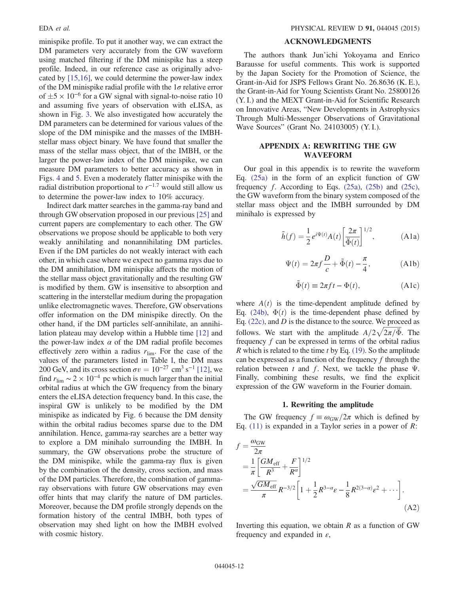minispike profile. To put it another way, we can extract the DM parameters very accurately from the GW waveform using matched filtering if the DM minispike has a steep profile. Indeed, in our reference case as originally advocated by [15,16], we could determine the power-law index of the DM minispike radial profile with the  $1\sigma$  relative error of  $\pm 5 \times 10^{-6}$  for a GW signal with signal-to-noise ratio 10 and assuming five years of observation with eLISA, as shown in Fig. 3. We also investigated how accurately the DM parameters can be determined for various values of the slope of the DM minispike and the masses of the IMBHstellar mass object binary. We have found that smaller the mass of the stellar mass object, that of the IMBH, or the larger the power-law index of the DM minispike, we can measure DM parameters to better accuracy as shown in Figs. 4 and 5. Even a moderately flatter minispike with the radial distribution proportional to  $r^{-1.7}$  would still allow us to determine the power-law index to 10% accuracy.

Indirect dark matter searches in the gamma-ray band and through GW observation proposed in our previous [25] and current papers are complementary to each other. The GW observations we propose should be applicable to both very weakly annihilating and nonannihilating DM particles. Even if the DM particles do not weakly interact with each other, in which case where we expect no gamma rays due to the DM annihilation, DM minispike affects the motion of the stellar mass object gravitationally and the resulting GW is modified by them. GW is insensitive to absorption and scattering in the interstellar medium during the propagation unlike electromagnetic waves. Therefore, GW observations offer information on the DM minispike directly. On the other hand, if the DM particles self-annihilate, an annihilation plateau may develop within a Hubble time [12] and the power-law index  $\alpha$  of the DM radial profile becomes effectively zero within a radius  $r_{\text{lim}}$ . For the case of the values of the parameters listed in Table I, the DM mass 200 GeV, and its cross section  $\sigma v = 10^{-27}$  cm<sup>3</sup> s<sup>-1</sup> [12], we find  $r_{\text{lim}} \sim 2 \times 10^{-4}$  pc which is much larger than the initial orbital radius at which the GW frequency from the binary enters the eLISA detection frequency band. In this case, the inspiral GW is unlikely to be modified by the DM minispike as indicated by Fig. 6 because the DM density within the orbital radius becomes sparse due to the DM annihilation. Hence, gamma-ray searches are a better way to explore a DM minihalo surrounding the IMBH. In summary, the GW observations probe the structure of the DM minispike, while the gamma-ray flux is given by the combination of the density, cross section, and mass of the DM particles. Therefore, the combination of gammaray observations with future GW observations may even offer hints that may clarify the nature of DM particles. Moreover, because the DM profile strongly depends on the formation history of the central IMBH, both types of observation may shed light on how the IMBH evolved with cosmic history.

#### ACKNOWLEDGMENTS

The authors thank Jun'ichi Yokoyama and Enrico Barausse for useful comments. This work is supported by the Japan Society for the Promotion of Science, the Grant-in-Aid for JSPS Fellows Grant No. 26.8636 (K. E.), the Grant-in-Aid for Young Scientists Grant No. 25800126 (Y. I.) and the MEXT Grant-in-Aid for Scientific Research on Innovative Areas, "New Developments in Astrophysics Through Multi-Messenger Observations of Gravitational Wave Sources" (Grant No. 24103005) (Y. I.).

# APPENDIX A: REWRITING THE GW WAVEFORM

Our goal in this appendix is to rewrite the waveform Eq. (25a) in the form of an explicit function of GW frequency  $f$ . According to Eqs. (25a), (25b) and (25c), the GW waveform from the binary system composed of the stellar mass object and the IMBH surrounded by DM minihalo is expressed by

$$
\tilde{h}(f) = \frac{1}{2} e^{i\Psi(t)} A(t) \left[ \frac{2\pi}{\ddot{\Phi}(t)} \right]^{1/2}, \quad (A1a)
$$

$$
\Psi(t) = 2\pi f \frac{D}{c} + \tilde{\Phi}(t) - \frac{\pi}{4}, \qquad (A1b)
$$

$$
\tilde{\Phi}(t) \equiv 2\pi ft - \Phi(t), \tag{A1c}
$$

where  $A(t)$  is the time-dependent amplitude defined by Eq. (24b),  $\Phi(t)$  is the time-dependent phase defined by Eq.  $(22c)$ , and D is the distance to the source. We proceed as follows. We start with the amplitude  $A/2\sqrt{2\pi/\ddot{\Phi}}$ . The frequency  $f$  can be expressed in terms of the orbital radius  $R$  which is related to the time  $t$  by Eq. (19). So the amplitude can be expressed as a function of the frequency  $f$  through the relation between t and f. Next, we tackle the phase  $\Psi$ . Finally, combining these results, we find the explicit expression of the GW waveform in the Fourier domain.

#### 1. Rewriting the amplitude

The GW frequency  $f \equiv \omega_{\rm GW}/2\pi$  which is defined by Eq. (11) is expanded in a Taylor series in a power of  $R$ :

$$
f = \frac{\omega_{GW}}{2\pi}
$$
  
=  $\frac{1}{\pi} \left[ \frac{GM_{eff}}{R^3} + \frac{F}{R^{\alpha}} \right]^{1/2}$   
=  $\frac{\sqrt{GM_{eff}}}{\pi} R^{-3/2} \left[ 1 + \frac{1}{2} R^{3-\alpha} \varepsilon - \frac{1}{8} R^{2(3-\alpha)} \varepsilon^2 + \cdots \right].$  (A2)

Inverting this equation, we obtain  $R$  as a function of GW frequency and expanded in  $\varepsilon$ ,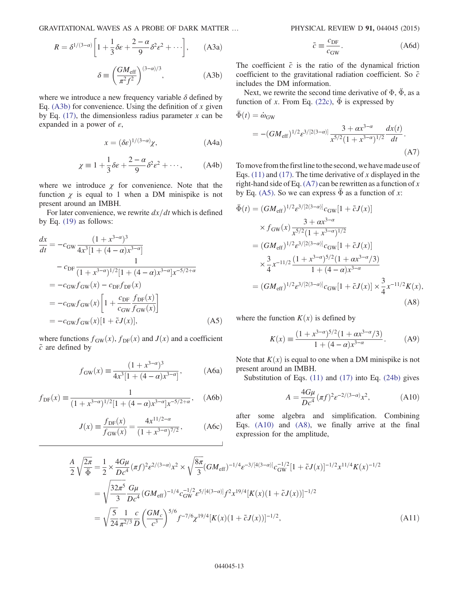GRAVITATIONAL WAVES AS A PROBE OF DARK MATTER … PHYSICAL REVIEW D 91, 044045 (2015)

$$
R = \delta^{1/(3-\alpha)} \left[ 1 + \frac{1}{3} \delta \varepsilon + \frac{2-\alpha}{9} \delta^2 \varepsilon^2 + \cdots \right], \qquad \text{(A3a)}
$$

$$
\delta \equiv \left(\frac{GM_{\rm eff}}{\pi^2 f^2}\right)^{(3-\alpha)/3},\tag{A3b}
$$

where we introduce a new frequency variable  $\delta$  defined by Eq. (A3b) for convenience. Using the definition of x given by Eq.  $(17)$ , the dimensionless radius parameter x can be expanded in a power of  $\varepsilon$ ,

$$
x = (\delta \varepsilon)^{1/(3-\alpha)} \chi, \tag{A4a}
$$

$$
\chi \equiv 1 + \frac{1}{3}\delta\varepsilon + \frac{2 - \alpha}{9}\delta^2\varepsilon^2 + \cdots, \qquad (A4b)
$$

where we introduce  $\chi$  for convenience. Note that the function  $\chi$  is equal to 1 when a DM minispike is not present around an IMBH.

For later convenience, we rewrite  $dx/dt$  which is defined by Eq. (19) as follows:

$$
\frac{dx}{dt} = -c_{\text{GW}} \frac{(1+x^{3-\alpha})^3}{4x^3[1+(4-\alpha)x^{3-\alpha}]}
$$
  
\n
$$
-c_{\text{DF}} \frac{1}{(1+x^{3-\alpha})^{1/2}[1+(4-\alpha)x^{3-\alpha}]x^{-5/2+\alpha}}
$$
  
\n
$$
= -c_{\text{GW}}f_{\text{GW}}(x) - c_{\text{DF}}f_{\text{DF}}(x)
$$
  
\n
$$
= -c_{\text{GW}}f_{\text{GW}}(x)\left[1+\frac{c_{\text{DF}}f_{\text{DF}}(x)}{c_{\text{GW}}f_{\text{GW}}(x)}\right]
$$
  
\n
$$
= -c_{\text{GW}}f_{\text{GW}}(x)[1+\tilde{c}J(x)], \tag{A5}
$$

where functions  $f_{GW}(x)$ ,  $f_{DF}(x)$  and  $J(x)$  and a coefficient  $\tilde{c}$  are defined by

$$
f_{\text{GW}}(x) \equiv \frac{(1+x^{3-\alpha})^3}{4x^3[1+(4-\alpha)x^{3-\alpha}]},
$$
 (A6a)

$$
f_{\rm DF}(x) \equiv \frac{1}{(1 + x^{3-\alpha})^{1/2} [1 + (4-\alpha)x^{3-\alpha}] x^{-5/2+\alpha}}, \quad \text{(A6b)}
$$

$$
J(x) \equiv \frac{f_{\rm DF}(x)}{f_{\rm GW}(x)} = \frac{4x^{11/2 - \alpha}}{(1 + x^{3 - \alpha})^{7/2}},
$$
 (A6c)

$$
\tilde{c} \equiv \frac{c_{\rm DF}}{c_{\rm GW}}.\tag{A6d}
$$

The coefficient  $\tilde{c}$  is the ratio of the dynamical friction coefficient to the gravitational radiation coefficient. So  $\tilde{c}$ includes the DM information.

Next, we rewrite the second time derivative of  $\Phi$ ,  $\ddot{\Phi}$ , as a function of x. From Eq. (22c),  $\ddot{\Phi}$  is expressed by

$$
\ddot{\Phi}(t) = \dot{\omega}_{GW}
$$
\n
$$
= -(GM_{eff})^{1/2} \varepsilon^{3/[2(3-a)]} \frac{3 + \alpha x^{3-a}}{x^{5/2} (1 + x^{3-a})^{1/2}} \frac{dx(t)}{dt}.
$$
\n(A7)

To move from the first line to the second, we have made use of Eqs.  $(11)$  and  $(17)$ . The time derivative of x displayed in the right-hand side of Eq.  $(A7)$  can be rewritten as a function of x by Eq. (A5). So we can express  $\ddot{\Phi}$  as a function of x:

$$
\ddot{\Phi}(t) = (GM_{\text{eff}})^{1/2} \varepsilon^{3/[2(3-\alpha)]} c_{\text{GW}} [1 + \tilde{c}J(x)]
$$
\n
$$
\times f_{\text{GW}}(x) \frac{3 + \alpha x^{3-\alpha}}{x^{5/2} (1 + x^{3-\alpha})^{1/2}}
$$
\n
$$
= (GM_{\text{eff}})^{1/2} \varepsilon^{3/[2(3-\alpha)]} c_{\text{GW}} [1 + \tilde{c}J(x)]
$$
\n
$$
\times \frac{3}{4} x^{-11/2} \frac{(1 + x^{3-\alpha})^{5/2} (1 + \alpha x^{3-\alpha}/3)}{1 + (4 - \alpha)x^{3-\alpha}}
$$
\n
$$
= (GM_{\text{eff}})^{1/2} \varepsilon^{3/[2(3-\alpha)]} c_{\text{GW}} [1 + \tilde{c}J(x)] \times \frac{3}{4} x^{-11/2} K(x),
$$
\n(A8)

where the function  $K(x)$  is defined by

$$
K(x) \equiv \frac{(1+x^{3-\alpha})^{5/2}(1+\alpha x^{3-\alpha}/3)}{1+(4-\alpha)x^{3-\alpha}}.
$$
 (A9)

Note that  $K(x)$  is equal to one when a DM minispike is not present around an IMBH.

Substitution of Eqs.  $(11)$  and  $(17)$  into Eq.  $(24b)$  gives

$$
A = \frac{4G\mu}{Dc^4} (\pi f)^2 \varepsilon^{-2/(3-\alpha)} x^2, \tag{A10}
$$

after some algebra and simplification. Combining Eqs. (A10) and (A8), we finally arrive at the final expression for the amplitude,

$$
\frac{A}{2}\sqrt{\frac{2\pi}{\ddot{\Phi}}} = \frac{1}{2} \times \frac{4G\mu}{Dc^4} (\pi f)^2 \varepsilon^{2/(3-\alpha)} x^2 \times \sqrt{\frac{8\pi}{3}} (GM_{\text{eff}})^{-1/4} \varepsilon^{-3/[4(3-\alpha)]} c_{\text{GW}}^{-1/2} [1 + \tilde{c}J(x)]^{-1/2} x^{11/4} K(x)^{-1/2}
$$
\n
$$
= \sqrt{\frac{32\pi^5}{3}} \frac{G\mu}{Dc^4} (GM_{\text{eff}})^{-1/4} c_{\text{GW}}^{-1/2} \varepsilon^{5/[4(3-\alpha)]} f^2 x^{19/4} [K(x)(1 + \tilde{c}J(x))]^{-1/2}
$$
\n
$$
= \sqrt{\frac{5}{24}} \frac{1}{\pi^{2/3}} \frac{c}{D} \left(\frac{GM_c}{c^3}\right)^{5/6} f^{-7/6} \chi^{19/4} [K(x)(1 + \tilde{c}J(x))]^{-1/2}, \tag{A11}
$$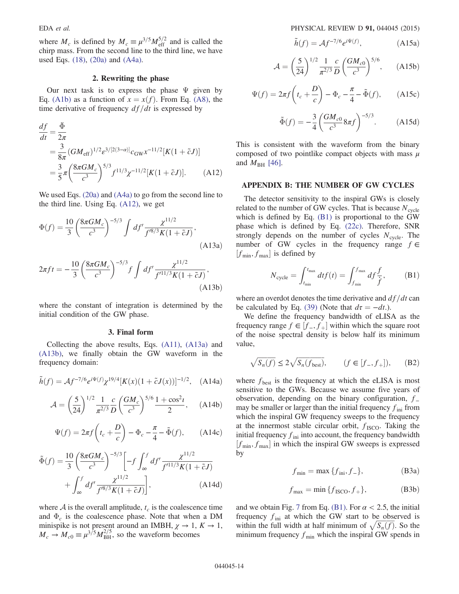where  $M_c$  is defined by  $M_c \equiv \mu^{3/5} M_{\text{eff}}^{5/2}$  and is called the chirp mass. From the second line to the third line, we have used Eqs. (18), (20a) and (A4a).

# 2. Rewriting the phase

Our next task is to express the phase  $\Psi$  given by Eq. (A1b) as a function of  $x = x(f)$ . From Eq. (A8), the time derivative of frequency  $df/dt$  is expressed by

$$
\frac{df}{dt} = \frac{\ddot{\Phi}}{2\pi}
$$
\n
$$
= \frac{3}{8\pi} (GM_{\text{eff}})^{1/2} \varepsilon^{3/[2(3-a)]} c_{\text{GW}} x^{-11/2} [K(1+\tilde{c}J)]
$$
\n
$$
= \frac{3}{5} \pi \left( \frac{8\pi GM_c}{c^3} \right)^{5/3} f^{11/3} \chi^{-11/2} [K(1+\tilde{c}J)]. \tag{A12}
$$

We used Eqs. (20a) and (A4a) to go from the second line to the third line. Using Eq. (A12), we get

$$
\Phi(f) = \frac{10}{3} \left( \frac{8\pi GM_c}{c^3} \right)^{-5/3} \int df' \frac{\chi^{11/2}}{f'^{8/3} K(1 + \tilde{c}J)},
$$
\n(A13a)

$$
2\pi ft = -\frac{10}{3} \left( \frac{8\pi GM_c}{c^3} \right)^{-5/3} f \int df' \frac{\chi^{11/2}}{f'^{11/3} K (1 + \tilde{c} J)},
$$
\n(A13b)

where the constant of integration is determined by the initial condition of the GW phase.

#### 3. Final form

Collecting the above results, Eqs. (A11), (A13a) and (A13b), we finally obtain the GW waveform in the frequency domain:

$$
\tilde{h}(f) = \mathcal{A}f^{-7/6}e^{i\Psi(f)}\chi^{19/4}[K(x)(1+\tilde{c}J(x))]^{-1/2}, \quad \text{(A14a)}
$$

$$
\mathcal{A} = \left(\frac{5}{24}\right)^{1/2} \frac{1}{\pi^{2/3}} \frac{c}{D} \left(\frac{GM_c}{c^3}\right)^{5/6} \frac{1 + \cos^2 t}{2}, \quad \text{(A14b)}
$$

$$
\Psi(f) = 2\pi f \left( t_c + \frac{D}{c} \right) - \Phi_c - \frac{\pi}{4} - \tilde{\Phi}(f), \quad \text{(A14c)}
$$

$$
\tilde{\Phi}(f) = \frac{10}{3} \left( \frac{8\pi GM_c}{c^3} \right)^{-5/3} \left[ -f \int_{\infty}^{f} df' \frac{\chi^{11/2}}{f'^{11/3} K (1 + \tilde{c} J)} + \int_{\infty}^{f} df' \frac{\chi^{11/2}}{f'^{8/3} K (1 + \tilde{c} J)} \right],
$$
\n(A14d)

where  $A$  is the overall amplitude,  $t_c$  is the coalescence time and  $\Phi_c$  is the coalescence phase. Note that when a DM minispike is not present around an IMBH,  $\chi \rightarrow 1$ ,  $K \rightarrow 1$ ,  $M_c \rightarrow M_{c0} \equiv \mu^{3/5} M_{BH}^{2/5}$ , so the waveform becomes

EDA et al. PHYSICAL REVIEW D **91**, 044045 (2015)

$$
\tilde{h}(f) = \mathcal{A}f^{-7/6}e^{i\Psi(f)},\tag{A15a}
$$

$$
\mathcal{A} = \left(\frac{5}{24}\right)^{1/2} \frac{1}{\pi^{2/3}} \frac{c}{D} \left(\frac{GM_{c0}}{c^3}\right)^{5/6}, \quad \text{(A15b)}
$$

$$
\Psi(f) = 2\pi f \left( t_c + \frac{D}{c} \right) - \Phi_c - \frac{\pi}{4} - \tilde{\Phi}(f), \quad \text{(A15c)}
$$

$$
\tilde{\Phi}(f) = -\frac{3}{4} \left( \frac{GM_{c0}}{c^3} 8\pi f \right)^{-5/3}.
$$
 (A15d)

This is consistent with the waveform from the binary composed of two pointlike compact objects with mass  $\mu$ and  $M_{\text{BH}}$  [46].

## APPENDIX B: THE NUMBER OF GW CYCLES

The detector sensitivity to the inspiral GWs is closely related to the number of GW cycles. That is because  $N_{\text{cycle}}$ which is defined by Eq. (B1) is proportional to the GW phase which is defined by Eq. (22c). Therefore, SNR strongly depends on the number of cycles  $N_{\text{cycle}}$ . The number of GW cycles in the frequency range  $f \in$  $[f<sub>min</sub>, f<sub>max</sub>]$  is defined by

$$
N_{\text{cycle}} = \int_{t_{\text{min}}}^{t_{\text{max}}} dt f(t) = \int_{f_{\text{min}}}^{f_{\text{max}}} df \frac{f}{f}, \quad \text{(B1)}
$$

where an overdot denotes the time derivative and  $df/dt$  can be calculated by Eq. (39) (Note that  $d\tau = -dt$ .).

We define the frequency bandwidth of eLISA as the frequency range  $f \in [f_-, f_+]$  within which the square root of the noise spectral density is below half its minimum value,

$$
\sqrt{S_n(f)} \le 2\sqrt{S_n(f_{\text{best}})}, \qquad (f \in [f_-, f_+]), \qquad (B2)
$$

where  $f_{\text{best}}$  is the frequency at which the eLISA is most sensitive to the GWs. Because we assume five years of observation, depending on the binary configuration,  $f_$ may be smaller or larger than the initial frequency  $f_{\text{ini}}$  from which the inspiral GW frequency sweeps to the frequency at the innermost stable circular orbit,  $f_{\text{ISCO}}$ . Taking the initial frequency  $f_{\text{ini}}$  into account, the frequency bandwidth  $[f<sub>min</sub>, f<sub>max</sub>]$  in which the inspiral GW sweeps is expressed by

$$
f_{\min} = \max \left\{ f_{\text{ini}}, f_{-} \right\},\tag{B3a}
$$

$$
f_{\text{max}} = \min \{ f_{\text{ISCO}}, f_+ \}, \tag{B3b}
$$

and we obtain Fig. 7 from Eq. (B1). For  $\alpha$  < 2.5, the initial frequency  $f_{\text{ini}}$  at which the GW start to be observed is within the full width at half minimum of  $\sqrt{S_n(f)}$ . So the minimum frequency f . which the inspiral GW spends in minimum frequency  $f_{\text{min}}$  which the inspiral GW spends in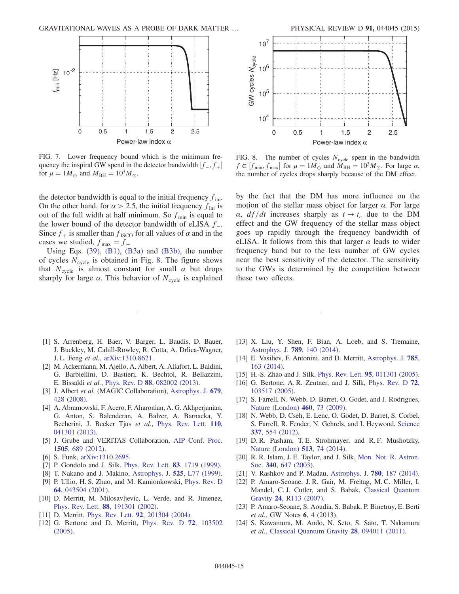

FIG. 7. Lower frequency bound which is the minimum frequency the inspiral GW spend in the detector bandwidth  $[f_-, f_+]$ for  $\mu = 1M_{\odot}$  and  $M_{BH} = 10^3 M_{\odot}$ .

the detector bandwidth is equal to the initial frequency  $f_{\text{ini}}$ . On the other hand, for  $\alpha > 2.5$ , the initial frequency  $f_{\text{ini}}$  is out of the full width at half minimum. So  $f_{\text{min}}$  is equal to the lower bound of the detector bandwidth of eLISA  $f_$ . Since  $f_{+}$  is smaller than  $f_{\text{ISCO}}$  for all values of  $\alpha$  and in the cases we studied,  $f_{\text{max}} = f_{+}$ 

Using Eqs.  $(39)$ ,  $(B1)$ ,  $(B3a)$  and  $(B3b)$ , the number of cycles  $N_{\text{cycle}}$  is obtained in Fig. 8. The figure shows that  $N_{\text{cycle}}$  is almost constant for small  $\alpha$  but drops sharply for large  $\alpha$ . This behavior of  $N_{\text{cycle}}$  is explained



FIG. 8. The number of cycles  $N_{\text{cycle}}$  spent in the bandwidth  $f \in [f_{\min}, f_{\max}]$  for  $\mu = 1M_{\odot}$  and  $M_{\text{BH}} = 10^3 M_{\odot}$ . For large  $\alpha$ , the number of cycles drops sharply because of the DM effect.

by the fact that the DM has more influence on the motion of the stellar mass object for larger  $\alpha$ . For large  $\alpha$ ,  $df/dt$  increases sharply as  $t \rightarrow t_c$  due to the DM effect and the GW frequency of the stellar mass object goes up rapidly through the frequency bandwidth of eLISA. It follows from this that larger  $\alpha$  leads to wider frequency band but to the less number of GW cycles near the best sensitivity of the detector. The sensitivity to the GWs is determined by the competition between these two effects.

- [1] S. Arrenberg, H. Baer, V. Barger, L. Baudis, D. Bauer, J. Buckley, M. Cahill-Rowley, R. Cotta, A. Drlica-Wagner, J. L. Feng et al., [arXiv:1310.8621.](http://arXiv.org/abs/1310.8621)
- [2] M. Ackermann, M. Ajello, A. Albert, A. Allafort, L. Baldini, G. Barbiellini, D. Bastieri, K. Bechtol, R. Bellazzini, E. Bissaldi et al., Phys. Rev. D 88[, 082002 \(2013\).](http://dx.doi.org/10.1103/PhysRevD.88.082002)
- [3] J. Albert et al. (MAGIC Collaboration), [Astrophys. J.](http://dx.doi.org/10.1086/529135) 679, [428 \(2008\)](http://dx.doi.org/10.1086/529135).
- [4] A. Abramowski, F. Acero, F. Aharonian, A. G. Akhperjanian, G. Anton, S. Balenderan, A. Balzer, A. Barnacka, Y. Becherini, J. Becker Tjus et al., [Phys. Rev. Lett.](http://dx.doi.org/10.1103/PhysRevLett.110.041301) 110, [041301 \(2013\).](http://dx.doi.org/10.1103/PhysRevLett.110.041301)
- [5] J. Grube and VERITAS Collaboration, [AIP Conf. Proc.](http://dx.doi.org/10.1063/1.4772353) 1505[, 689 \(2012\)](http://dx.doi.org/10.1063/1.4772353).
- [6] S. Funk, [arXiv:1310.2695.](http://arXiv.org/abs/1310.2695)
- [7] P. Gondolo and J. Silk, [Phys. Rev. Lett.](http://dx.doi.org/10.1103/PhysRevLett.83.1719) **83**, 1719 (1999).
- [8] T. Nakano and J. Makino, [Astrophys. J.](http://dx.doi.org/10.1086/312338) 525, L77 (1999).
- [9] P. Ullio, H. S. Zhao, and M. Kamionkowski, [Phys. Rev. D](http://dx.doi.org/10.1103/PhysRevD.64.043504) 64[, 043504 \(2001\).](http://dx.doi.org/10.1103/PhysRevD.64.043504)
- [10] D. Merritt, M. Milosavljevic, L. Verde, and R. Jimenez, Phys. Rev. Lett. 88[, 191301 \(2002\)](http://dx.doi.org/10.1103/PhysRevLett.88.191301).
- [11] D. Merritt, Phys. Rev. Lett. **92**[, 201304 \(2004\).](http://dx.doi.org/10.1103/PhysRevLett.92.201304)
- [12] G. Bertone and D. Merritt, [Phys. Rev. D](http://dx.doi.org/10.1103/PhysRevD.72.103502) 72, 103502 [\(2005\).](http://dx.doi.org/10.1103/PhysRevD.72.103502)
- [13] X. Liu, Y. Shen, F. Bian, A. Loeb, and S. Tremaine, [Astrophys. J.](http://dx.doi.org/10.1088/0004-637X/789/2/140) 789, 140 (2014).
- [14] E. Vasiliev, F. Antonini, and D. Merritt, [Astrophys. J.](http://dx.doi.org/10.1088/0004-637X/785/2/163) **785**, [163 \(2014\)](http://dx.doi.org/10.1088/0004-637X/785/2/163).
- [15] H.-S. Zhao and J. Silk, Phys. Rev. Lett. 95[, 011301 \(2005\).](http://dx.doi.org/10.1103/PhysRevLett.95.011301)
- [16] G. Bertone, A. R. Zentner, and J. Silk, [Phys. Rev. D](http://dx.doi.org/10.1103/PhysRevD.72.103517) 72, [103517 \(2005\).](http://dx.doi.org/10.1103/PhysRevD.72.103517)
- [17] S. Farrell, N. Webb, D. Barret, O. Godet, and J. Rodrigues, [Nature \(London\)](http://dx.doi.org/10.1038/nature08083) 460, 73 (2009).
- [18] N. Webb, D. Cseh, E. Lenc, O. Godet, D. Barret, S. Corbel, S. Farrell, R. Fender, N. Gehrels, and I. Heywood, [Science](http://dx.doi.org/10.1126/science.1222779) 337[, 554 \(2012\)](http://dx.doi.org/10.1126/science.1222779).
- [19] D. R. Pasham, T. E. Strohmayer, and R. F. Mushotzky, [Nature \(London\)](http://dx.doi.org/10.1038/nature13710) 513, 74 (2014).
- [20] R. R. Islam, J. E. Taylor, and J. Silk, [Mon. Not. R. Astron.](http://dx.doi.org/10.1046/j.1365-8711.2003.06329.x) Soc. 340[, 647 \(2003\)](http://dx.doi.org/10.1046/j.1365-8711.2003.06329.x).
- [21] V. Rashkov and P. Madau, [Astrophys. J.](http://dx.doi.org/10.1088/0004-637X/780/2/187) 780, 187 (2014).
- [22] P. Amaro-Seoane, J. R. Gair, M. Freitag, M. C. Miller, I. Mandel, C. J. Cutler, and S. Babak, [Classical Quantum](http://dx.doi.org/10.1088/0264-9381/24/17/R01) Gravity 24[, R113 \(2007\).](http://dx.doi.org/10.1088/0264-9381/24/17/R01)
- [23] P. Amaro-Seoane, S. Aoudia, S. Babak, P. Binetruy, E. Berti et al., GW Notes 6, 4 (2013).
- [24] S. Kawamura, M. Ando, N. Seto, S. Sato, T. Nakamura et al., [Classical Quantum Gravity](http://dx.doi.org/10.1088/0264-9381/28/9/094011) 28, 094011 (2011).